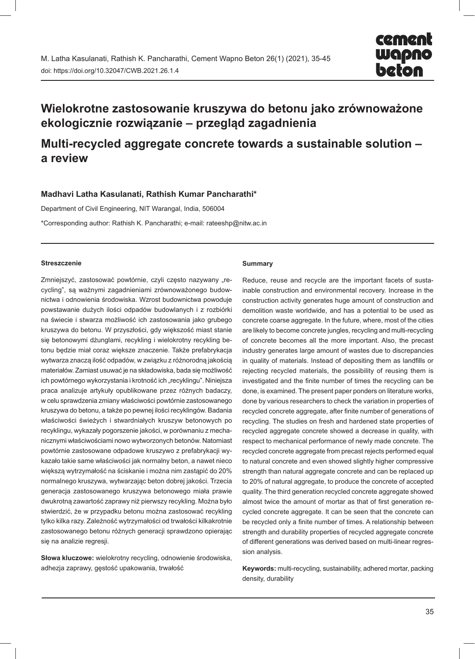# **Wielokrotne zastosowanie kruszywa do betonu jako zrównoważone ekologicznie rozwiązanie – przegląd zagadnienia**

# **Multi-recycled aggregate concrete towards a sustainable solution – a review**

# **Madhavi Latha Kasulanati, Rathish Kumar Pancharathi\***

Department of Civil Engineering, NIT Warangal, India, 506004

\*Corresponding author: Rathish K. Pancharathi; e-mail: rateeshp@nitw.ac.in

#### **Streszczenie**

Zmniejszyć, zastosować powtórnie, czyli często nazywany "recycling", są ważnymi zagadnieniami zrównoważonego budownictwa i odnowienia środowiska. Wzrost budownictwa powoduje powstawanie dużych ilości odpadów budowlanych i z rozbiórki na świecie i stwarza możliwość ich zastosowania jako grubego kruszywa do betonu. W przyszłości, gdy większość miast stanie się betonowymi dżunglami, recykling i wielokrotny recykling betonu będzie miał coraz większe znaczenie. Także prefabrykacja wytwarza znaczą ilość odpadów, w związku z różnorodną jakością materiałów. Zamiast usuwać je na składowiska, bada się możliwość ich powtórnego wykorzystania i krotność ich "recyklingu". Niniejsza praca analizuje artykuły opublikowane przez różnych badaczy, w celu sprawdzenia zmiany właściwości powtórnie zastosowanego kruszywa do betonu, a także po pewnej ilości recyklingów. Badania właściwości świeżych i stwardniałych kruszyw betonowych po recyklingu, wykazały pogorszenie jakości, w porównaniu z mechanicznymi właściwościami nowo wytworzonych betonów. Natomiast powtórnie zastosowane odpadowe kruszywo z prefabrykacji wykazało takie same właściwości jak normalny beton, a nawet nieco większą wytrzymałość na ściskanie i można nim zastąpić do 20% normalnego kruszywa, wytwarzając beton dobrej jakości. Trzecia generacja zastosowanego kruszywa betonowego miała prawie dwukrotną zawartość zaprawy niż pierwszy recykling. Można było stwierdzić, że w przypadku betonu można zastosować recykling tylko kilka razy. Zależność wytrzymałości od trwałości kilkakrotnie zastosowanego betonu różnych generacji sprawdzono opierając się na analizie regresji.

**Słowa kluczowe:** wielokrotny recycling, odnowienie środowiska, adhezja zaprawy, gęstość upakowania, trwałość

#### **Summary**

Reduce, reuse and recycle are the important facets of sustainable construction and environmental recovery. Increase in the construction activity generates huge amount of construction and demolition waste worldwide, and has a potential to be used as concrete coarse aggregate. In the future, where, most of the cities are likely to become concrete jungles, recycling and multi-recycling of concrete becomes all the more important. Also, the precast industry generates large amount of wastes due to discrepancies in quality of materials. Instead of depositing them as landfills or rejecting recycled materials, the possibility of reusing them is investigated and the finite number of times the recycling can be done, is examined. The present paper ponders on literature works, done by various researchers to check the variation in properties of recycled concrete aggregate, after finite number of generations of recycling. The studies on fresh and hardened state properties of recycled aggregate concrete showed a decrease in quality, with respect to mechanical performance of newly made concrete. The recycled concrete aggregate from precast rejects performed equal to natural concrete and even showed slightly higher compressive strength than natural aggregate concrete and can be replaced up to 20% of natural aggregate, to produce the concrete of accepted quality. The third generation recycled concrete aggregate showed almost twice the amount of mortar as that of first generation recycled concrete aggregate. It can be seen that the concrete can be recycled only a finite number of times. A relationship between strength and durability properties of recycled aggregate concrete of different generations was derived based on multi-linear regression analysis.

**Keywords:** multi-recycling, sustainability, adhered mortar, packing density, durability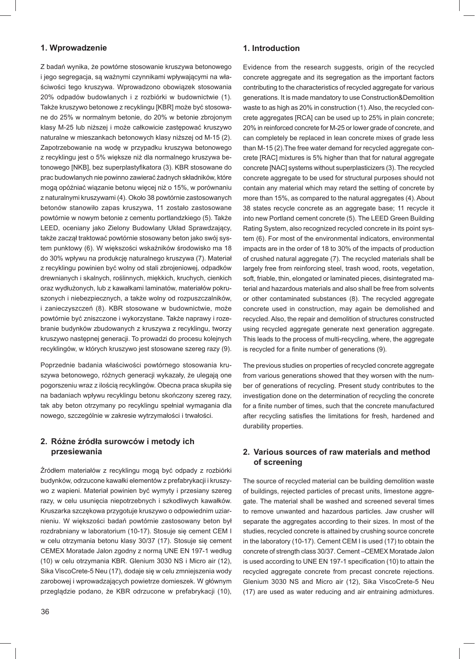# **1. Wprowadzenie**

Z badań wynika, że powtórne stosowanie kruszywa betonowego i jego segregacja, są ważnymi czynnikami wpływającymi na właściwości tego kruszywa. Wprowadzono obowiązek stosowania 20% odpadów budowlanych i z rozbiórki w budownictwie (1). Także kruszywo betonowe z recyklingu [KBR] może być stosowane do 25% w normalnym betonie, do 20% w betonie zbrojonym klasy M-25 lub niższej i może całkowicie zastępować kruszywo naturalne w mieszankach betonowych klasy niższej od M-15 (2). Zapotrzebowanie na wodę w przypadku kruszywa betonowego z recyklingu jest o 5% większe niż dla normalnego kruszywa betonowego [NKB], bez superplastyfikatora (3). KBR stosowane do prac budowlanych nie powinno zawierać żadnych składników, które mogą opóźniać wiązanie betonu więcej niż o 15%, w porównaniu z naturalnymi kruszywami (4). Około 38 powtórnie zastosowanych betonów stanowiło zapas kruszywa, 11 zostało zastosowane powtórnie w nowym betonie z cementu portlandzkiego (5). Także LEED, oceniany jako Zielony Budowlany Układ Sprawdzający, także zaczął traktować powtórnie stosowany beton jako swój system punktowy (6). W większości wskaźników środowisko ma 18 do 30% wpływu na produkcję naturalnego kruszywa (7). Materiał z recyklingu powinien być wolny od stali zbrojeniowej, odpadków drewnianych i skalnych, roślinnych, miękkich, kruchych, cienkich oraz wydłużonych, lub z kawałkami laminatów, materiałów pokruszonych i niebezpiecznych, a także wolny od rozpuszczalników, i zanieczyszczeń (8). KBR stosowane w budownictwie, może powtórnie być zniszczone i wykorzystane. Także naprawy i rozebranie budynków zbudowanych z kruszywa z recyklingu, tworzy kruszywo następnej generacji. To prowadzi do procesu kolejnych recyklingów, w których kruszywo jest stosowane szereg razy (9).

Poprzednie badania właściwości powtórnego stosowania kruszywa betonowego, różnych generacji wykazały, że ulegają one pogorszeniu wraz z ilością recyklingów. Obecna praca skupiła się na badaniach wpływu recyklingu betonu skończony szereg razy, tak aby beton otrzymany po recyklingu spełniał wymagania dla nowego, szczególnie w zakresie wytrzymałości i trwałości.

# **2. Różne źródła surowców i metody ich przesiewania**

Źródłem materiałów z recyklingu mogą być odpady z rozbiórki budynków, odrzucone kawałki elementów z prefabrykacji i kruszywo z wapieni. Materiał powinien być wymyty i przesiany szereg razy, w celu usunięcia niepotrzebnych i szkodliwych kawałków. Kruszarka szczękowa przygotuje kruszywo o odpowiednim uziarnieniu. W większości badań powtórnie zastosowany beton był rozdrabniany w laboratorium (10-17). Stosuje się cement CEM I w celu otrzymania betonu klasy 30/37 (17). Stosuje się cement CEMEX Moratade Jalon zgodny z normą UNE EN 197-1 według (10) w celu otrzymania KBR. Glenium 3030 NS i Micro air (12), Sika ViscoCrete-5 Neu (17), dodaje się w celu zmniejszenia wody zarobowej i wprowadzających powietrze domieszek. W głównym przeglądzie podano, że KBR odrzucone w prefabrykacji (10),

# **1. Introduction**

Evidence from the research suggests, origin of the recycled concrete aggregate and its segregation as the important factors contributing to the characteristics of recycled aggregate for various generations. It is made mandatory to use Construction&Demolition waste to as high as 20% in construction (1). Also, the recycled concrete aggregates [RCA] can be used up to 25% in plain concrete; 20% in reinforced concrete for M-25 or lower grade of concrete, and can completely be replaced in lean concrete mixes of grade less than M-15 (2).The free water demand for recycled aggregate concrete [RAC] mixtures is 5% higher than that for natural aggregate concrete [NAC] systems without superplasticizers (3). The recycled concrete aggregate to be used for structural purposes should not contain any material which may retard the setting of concrete by more than 15%, as compared to the natural aggregates (4). About 38 states recycle concrete as an aggregate base; 11 recycle it into new Portland cement concrete (5). The LEED Green Building Rating System, also recognized recycled concrete in its point system (6). For most of the environmental indicators, environmental impacts are in the order of 18 to 30% of the impacts of production of crushed natural aggregate (7). The recycled materials shall be largely free from reinforcing steel, trash wood, roots, vegetation, soft, friable, thin, elongated or laminated pieces, disintegrated material and hazardous materials and also shall be free from solvents or other contaminated substances (8). The recycled aggregate concrete used in construction, may again be demolished and recycled. Also, the repair and demolition of structures constructed using recycled aggregate generate next generation aggregate. This leads to the process of multi-recycling, where, the aggregate is recycled for a finite number of generations (9).

The previous studies on properties of recycled concrete aggregate from various generations showed that they worsen with the number of generations of recycling. Present study contributes to the investigation done on the determination of recycling the concrete for a finite number of times, such that the concrete manufactured after recycling satisfies the limitations for fresh, hardened and durability properties.

# **2. Various sources of raw materials and method of screening**

The source of recycled material can be building demolition waste of buildings, rejected particles of precast units, limestone aggregate. The material shall be washed and screened several times to remove unwanted and hazardous particles. Jaw crusher will separate the aggregates according to their sizes. In most of the studies, recycled concrete is attained by crushing source concrete in the laboratory (10-17). Cement CEM I is used (17) to obtain the concrete of strength class 30/37. Cement –CEMEX Moratade Jalon is used according to UNE EN 197-1 specification (10) to attain the recycled aggregate concrete from precast concrete rejections. Glenium 3030 NS and Micro air (12), Sika ViscoCrete-5 Neu (17) are used as water reducing and air entraining admixtures.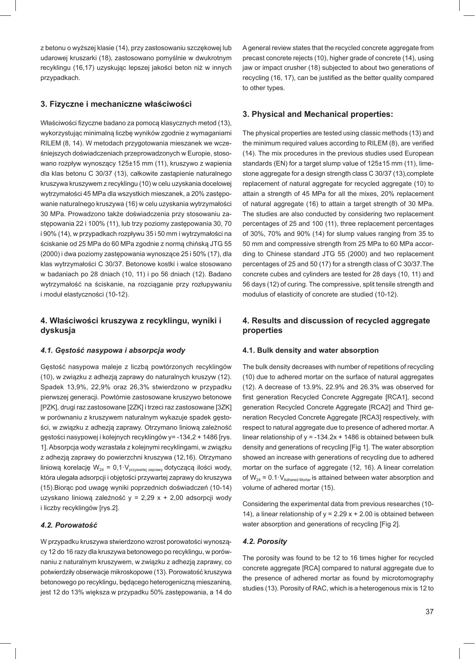z betonu o wyższej klasie (14), przy zastosowaniu szczękowej lub udarowej kruszarki (18), zastosowano pomyślnie w dwukrotnym recyklingu (16,17) uzyskując lepszej jakości beton niż w innych przypadkach.

## **3. Fizyczne i mechaniczne właściwości**

Właściwości fizyczne badano za pomocą klasycznych metod (13), wykorzystując minimalną liczbę wyników zgodnie z wymaganiami RILEM (8, 14). W metodach przygotowania mieszanek we wcześniejszych doświadczeniach przeprowadzonych w Europie, stosowano rozpływ wynoszący 125±15 mm (11), kruszywo z wapienia dla klas betonu C 30/37 (13), całkowite zastąpienie naturalnego kruszywa kruszywem z recyklingu (10) w celu uzyskania docelowej wytrzymałości 45 MPa dla wszystkich mieszanek, a 20% zastępowanie naturalnego kruszywa (16) w celu uzyskania wytrzymałości 30 MPa. Prowadzono także doświadczenia przy stosowaniu zastępowania 22 i 100% (11), lub trzy poziomy zastępowania 30, 70 i 90% (14), w przypadkach rozpływu 35 i 50 mm i wytrzymałości na ściskanie od 25 MPa do 60 MPa zgodnie z normą chińską JTG 55 (2000) i dwa poziomy zastępowania wynoszące 25 i 50% (17), dla klas wytrzymałości C 30/37. Betonowe kostki i walce stosowano w badaniach po 28 dniach (10, 11) i po 56 dniach (12). Badano wytrzymałość na ściskanie, na rozciąganie przy rozłupywaniu i moduł elastyczności (10-12).

# **4. Właściwości kruszywa z recyklingu, wyniki i dyskusja**

### *4.1. Gęstość nasypowa i absorpcja wody*

Gęstość nasypowa maleje z liczbą powtórzonych recyklingów (10), w związku z adhezją zaprawy do naturalnych kruszyw (12). Spadek 13,9%, 22,9% oraz 26,3% stwierdzono w przypadku pierwszej generacji. Powtórnie zastosowane kruszywo betonowe [PZK], drugi raz zastosowane [2ZK] i trzeci raz zastosowane [3ZK] w porównaniu z kruszywem naturalnym wykazuje spadek gęstości, w związku z adhezją zaprawy. Otrzymano liniową zależność gęstości nasypowej i kolejnych recyklingów y= -134,2 + 1486 [rys. 1]. Absorpcja wody wzrastała z kolejnymi recyklingami, w związku z adhezją zaprawy do powierzchni kruszywa (12,16). Otrzymano liniową korelację W<sub>24</sub> = 0,1·V<sub>przywartej zaprawy</sub> dotyczącą ilości wody, która ulegała adsorpcji i objętości przywartej zaprawy do kruszywa (15).Biorąc pod uwagę wyniki poprzednich doświadczeń (10-14) uzyskano liniową zależność y = 2,29 x + 2,00 adsorpcji wody i liczby recyklingów [rys.2].

### *4.2. Porowatość*

W przypadku kruszywa stwierdzono wzrost porowatości wynoszący 12 do 16 razy dla kruszywa betonowego po recyklingu, w porównaniu z naturalnym kruszywem, w związku z adhezją zaprawy, co potwierdziły obserwacje mikroskopowe (13). Porowatość kruszywa betonowego po recyklingu, będącego heterogeniczną mieszaniną, jest 12 do 13% większa w przypadku 50% zastępowania, a 14 do A general review states that the recycled concrete aggregate from precast concrete rejects (10), higher grade of concrete (14), using jaw or impact crusher (18) subjected to about two generations of recycling (16, 17), can be justified as the better quality compared to other types.

# **3. Physical and Mechanical properties:**

The physical properties are tested using classic methods (13) and the minimum required values according to RILEM (8), are verified (14). The mix procedures in the previous studies used European standards (EN) for a target slump value of 125±15 mm (11), limestone aggregate for a design strength class C 30/37 (13),complete replacement of natural aggregate for recycled aggregate (10) to attain a strength of 45 MPa for all the mixes, 20% replacement of natural aggregate (16) to attain a target strength of 30 MPa. The studies are also conducted by considering two replacement percentages of 25 and 100 (11), three replacement percentages of 30%, 70% and 90% (14) for slump values ranging from 35 to 50 mm and compressive strength from 25 MPa to 60 MPa according to Chinese standard JTG 55 (2000) and two replacement percentages of 25 and 50 (17) for a strength class of C 30/37.The concrete cubes and cylinders are tested for 28 days (10, 11) and 56 days (12) of curing. The compressive, split tensile strength and modulus of elasticity of concrete are studied (10-12).

# **4. Results and discussion of recycled aggregate properties**

#### **4.1. Bulk density and water absorption**

The bulk density decreases with number of repetitions of recycling (10) due to adhered mortar on the surface of natural aggregates (12). A decrease of 13.9%, 22.9% and 26.3% was observed for first generation Recycled Concrete Aggregate [RCA1], second generation Recycled Concrete Aggregate [RCA2] and Third generation Recycled Concrete Aggregate [RCA3] respectively, with respect to natural aggregate due to presence of adhered mortar. A linear relationship of  $y = -134.2x + 1486$  is obtained between bulk density and generations of recycling [Fig 1]. The water absorption showed an increase with generations of recycling due to adhered mortar on the surface of aggregate (12, 16). A linear correlation of  $W_{24} = 0.1 \cdot V_{\text{Adhered Mortar}}$  is attained between water absorption and volume of adhered mortar (15).

Considering the experimental data from previous researches (10- 14), a linear relationship of  $y = 2.29x + 2.00$  is obtained between water absorption and generations of recycling [Fig 2].

### *4.2. Porosity*

The porosity was found to be 12 to 16 times higher for recycled concrete aggregate [RCA] compared to natural aggregate due to the presence of adhered mortar as found by microtomography studies (13). Porosity of RAC, which is a heterogenous mix is 12 to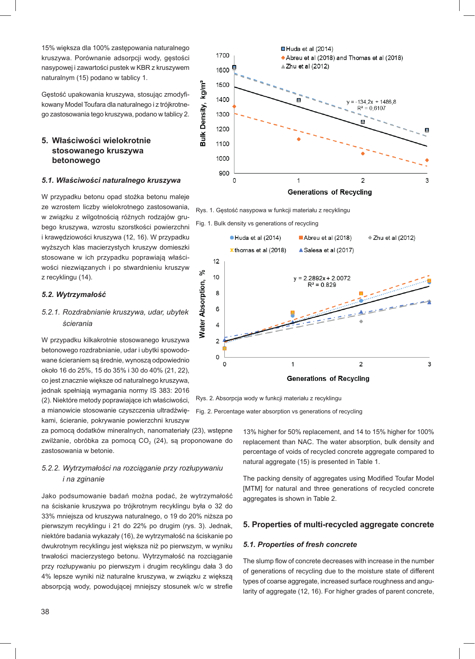15% większa dla 100% zastępowania naturalnego kruszywa. Porównanie adsorpcji wody, gęstości nasypowej i zawartości pustek w KBR z kruszywem naturalnym (15) podano w tablicy 1.

Gęstość upakowania kruszywa, stosując zmodyfikowany Model Toufara dla naturalnego i z trójkrotnego zastosowania tego kruszywa, podano w tablicy 2.

# **5. Właściwości wielokrotnie stosowanego kruszywa betonowego**

### *5.1. Właściwości naturalnego kruszywa*

W przypadku betonu opad stożka betonu maleje ze wzrostem liczby wielokrotnego zastosowania, w związku z wilgotnością różnych rodzajów grubego kruszywa, wzrostu szorstkości powierzchni i krawędziowości kruszywa (12, 16). W przypadku wyższych klas macierzystych kruszyw domieszki stosowane w ich przypadku poprawiają właściwości niezwiązanych i po stwardnieniu kruszyw z recyklingu (14).

### *5.2. Wytrzymałość*

# *5.2.1. Rozdrabnianie kruszywa, udar, ubytek ścierania*

W przypadku kilkakrotnie stosowanego kruszywa betonowego rozdrabnianie, udar i ubytki spowodowane ścieraniem są średnie, wynoszą odpowiednio około 16 do 25%, 15 do 35% i 30 do 40% (21, 22), co jest znacznie większe od naturalnego kruszywa, jednak spełniają wymagania normy IS 383: 2016 (2). Niektóre metody poprawiające ich właściwości, a mianowicie stosowanie czyszczenia ultradźwiękami, ścieranie, pokrywanie powierzchni kruszyw

za pomocą dodatków mineralnych, nanomateriały (23), wstępne zwilżanie, obróbka za pomocą  $CO<sub>2</sub>$  (24), są proponowane do zastosowania w betonie.

# *5.2.2. Wytrzymałości na rozciąganie przy rozłupywaniu i na zginanie*

Jako podsumowanie badań można podać, że wytrzymałość na ściskanie kruszywa po trójkrotnym recyklingu była o 32 do 33% mniejsza od kruszywa naturalnego, o 19 do 20% niższa po pierwszym recyklingu i 21 do 22% po drugim (rys. 3). Jednak, niektóre badania wykazały (16), że wytrzymałość na ściskanie po dwukrotnym recyklingu jest większa niż po pierwszym, w wyniku trwałości macierzystego betonu. Wytrzymałość na rozciąganie przy rozłupywaniu po pierwszym i drugim recyklingu dała 3 do 4% lepsze wyniki niż naturalne kruszywa, w związku z większą absorpcją wody, powodującej mniejszy stosunek w/c w strefie



Rys. 1. Gęstość nasypowa w funkcji materiału z recyklingu

Fig. 1. Bulk density vs generations of recycling



Rys. 2. Absorpcja wody w funkcji materiału z recyklingu

Fig. 2. Percentage water absorption vs generations of recycling

13% higher for 50% replacement, and 14 to 15% higher for 100% replacement than NAC. The water absorption, bulk density and percentage of voids of recycled concrete aggregate compared to natural aggregate (15) is presented in Table 1.

The packing density of aggregates using Modified Toufar Model [MTM] for natural and three generations of recycled concrete aggregates is shown in Table 2.

### **5. Properties of multi-recycled aggregate concrete**

### *5.1. Properties of fresh concrete*

The slump flow of concrete decreases with increase in the number of generations of recycling due to the moisture state of different types of coarse aggregate, increased surface roughness and angularity of aggregate (12, 16). For higher grades of parent concrete,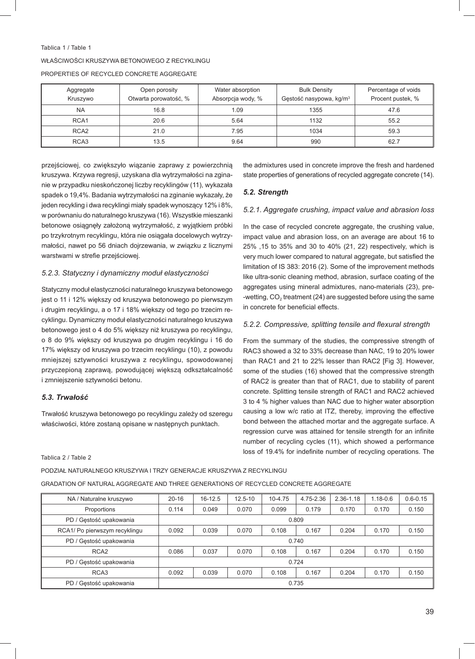| Tablica 1 / Table 1                          |
|----------------------------------------------|
| WŁAŚCIWOŚCI KRUSZYWA BETONOWEGO Z RECYKLINGU |
| PROPERTIES OF RECYCLED CONCRETE AGGREGATE    |

| Aggregate<br>Kruszywo | Open porosity<br>Otwarta porowatość, % | Water absorption<br>Absorpcja wody, % | <b>Bulk Density</b><br>Gęstość nasypowa, kg/m <sup>3</sup> | Percentage of voids<br>Procent pustek, % |
|-----------------------|----------------------------------------|---------------------------------------|------------------------------------------------------------|------------------------------------------|
| <b>NA</b>             | 16.8                                   | 1.09                                  | 1355                                                       | 47.6                                     |
| RCA <sub>1</sub>      | 20.6                                   | 5.64                                  | 1132                                                       | 55.2                                     |
| RCA <sub>2</sub>      | 21.0                                   | 7.95                                  | 1034                                                       | 59.3                                     |
| RCA <sub>3</sub>      | 13.5                                   | 9.64                                  | 990                                                        | 62.7                                     |

przejściowej, co zwiększyło wiązanie zaprawy z powierzchnią kruszywa. Krzywa regresji, uzyskana dla wytrzymałości na zginanie w przypadku nieskończonej liczby recyklingów (11), wykazała spadek o 19,4%. Badania wytrzymałości na zginanie wykazały, że jeden recykling i dwa recyklingi miały spadek wynoszący 12% i 8%, w porównaniu do naturalnego kruszywa (16). Wszystkie mieszanki betonowe osiągnęły założoną wytrzymałość, z wyjątkiem próbki po trzykrotnym recyklingu, która nie osiągała docelowych wytrzymałości, nawet po 56 dniach dojrzewania, w związku z licznymi warstwami w strefie przejściowej.

### *5.2.3. Statyczny i dynamiczny moduł elastyczności*

Statyczny moduł elastyczności naturalnego kruszywa betonowego jest o 11 i 12% większy od kruszywa betonowego po pierwszym i drugim recyklingu, a o 17 i 18% większy od tego po trzecim recyklingu. Dynamiczny moduł elastyczności naturalnego kruszywa betonowego jest o 4 do 5% większy niż kruszywa po recyklingu, o 8 do 9% większy od kruszywa po drugim recyklingu i 16 do 17% większy od kruszywa po trzecim recyklingu (10), z powodu mniejszej sztywności kruszywa z recyklingu, spowodowanej przyczepioną zaprawą, powodującej większą odkształcalność i zmniejszenie sztywności betonu.

# *5.3. Trwałość*

Trwałość kruszywa betonowego po recyklingu zależy od szeregu właściwości, które zostaną opisane w następnych punktach.

#### Tablica 2 / Table 2

the admixtures used in concrete improve the fresh and hardened state properties of generations of recycled aggregate concrete (14).

### *5.2. Strength*

### *5.2.1. Aggregate crushing, impact value and abrasion loss*

In the case of recycled concrete aggregate, the crushing value, impact value and abrasion loss, on an average are about 16 to 25% ,15 to 35% and 30 to 40% (21, 22) respectively, which is very much lower compared to natural aggregate, but satisfied the limitation of IS 383: 2016 (2). Some of the improvement methods like ultra-sonic cleaning method, abrasion, surface coating of the aggregates using mineral admixtures, nano-materials (23), pre- -wetting,  $CO<sub>2</sub>$  treatment (24) are suggested before using the same in concrete for beneficial effects.

### 5.2.2. Compressive, splitting tensile and flexural strength

From the summary of the studies, the compressive strength of RAC3 showed a 32 to 33% decrease than NAC, 19 to 20% lower than RAC1 and 21 to 22% lesser than RAC2 [Fig 3]. However, some of the studies (16) showed that the compressive strength of RAC2 is greater than that of RAC1, due to stability of parent concrete. Splitting tensile strength of RAC1 and RAC2 achieved 3 to 4 % higher values than NAC due to higher water absorption causing a low w/c ratio at ITZ, thereby, improving the effective bond between the attached mortar and the aggregate surface. A regression curve was attained for tensile strength for an infinite number of recycling cycles (11), which showed a performance loss of 19.4% for indefinite number of recycling operations. The

| NA / Naturalne kruszywo       | $20 - 16$ | 16-12.5 | $12.5 - 10$ | 10-4.75 | 4.75-2.36 | $2.36 - 1.18$ | $1.18 - 0.6$ | $0.6 - 0.15$ |
|-------------------------------|-----------|---------|-------------|---------|-----------|---------------|--------------|--------------|
| Proportions                   | 0.114     | 0.049   | 0.070       | 0.099   | 0.179     | 0.170         | 0.170        | 0.150        |
| PD / Gęstość upakowania       | 0.809     |         |             |         |           |               |              |              |
| RCA1/ Po pierwszym recyklingu | 0.092     | 0.039   | 0.070       | 0.108   | 0.167     | 0.204         | 0.170        | 0.150        |
| PD / Gestość upakowania       | 0.740     |         |             |         |           |               |              |              |
| RCA <sub>2</sub>              | 0.086     | 0.037   | 0.070       | 0.108   | 0.167     | 0.204         | 0.170        | 0.150        |
| PD / Gestość upakowania       | 0.724     |         |             |         |           |               |              |              |
| RCA <sub>3</sub>              | 0.092     | 0.039   | 0.070       | 0.108   | 0.167     | 0.204         | 0.170        | 0.150        |
| PD / Gęstość upakowania       | 0.735     |         |             |         |           |               |              |              |

# PODZIAŁ NATURALNEGO KRUSZYWA I TRZY GENERACJE KRUSZYWA Z RECYKLINGU

GRADATION OF NATURAL AGGREGATE AND THREE GENERATIONS OF RECYCLED CONCRETE AGGREGATE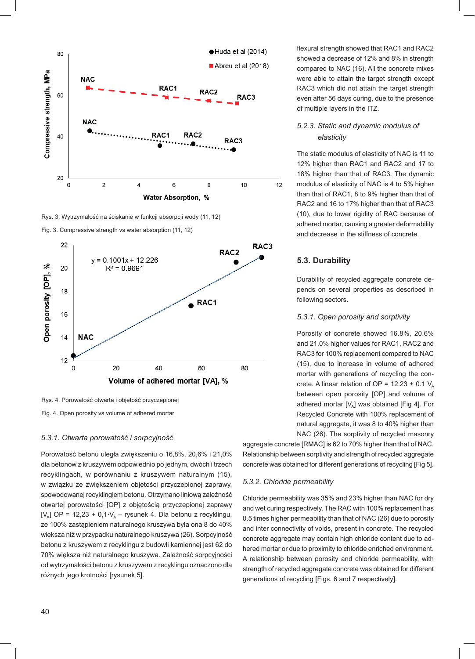

Rys. 3. Wytrzymałość na ściskanie w funkcji absorpcji wody (11, 12)

Fig. 3. Compressive strength vs water absorption (11, 12)



Rys. 4. Porowatość otwarta i objętość przyczepionej Fig. 4. Open porosity vs volume of adhered mortar

#### *5.3.1. Otwarta porowatość i sorpcyjność*

Porowatość betonu uległa zwiększeniu o 16,8%, 20,6% i 21,0% dla betonów z kruszywem odpowiednio po jednym, dwóch i trzech recyklingach, w porównaniu z kruszywem naturalnym (15), w związku ze zwiększeniem objętości przyczepionej zaprawy, spowodowanej recyklingiem betonu. Otrzymano liniową zależność otwartej porowatości [OP] z objętością przyczepionej zaprawy [V<sub>A</sub>] OP = 12,23 + 0,1 $\cdot$ V<sub>A</sub> – rysunek 4. Dla betonu z recyklingu, ze 100% zastąpieniem naturalnego kruszywa była ona 8 do 40% większa niż w przypadku naturalnego kruszywa (26). Sorpcyjność betonu z kruszywem z recyklingu z budowli kamiennej jest 62 do 70% większa niż naturalnego kruszywa. Zależność sorpcyjności od wytrzymałości betonu z kruszywem z recyklingu oznaczono dla różnych jego krotności [rysunek 5].

flexural strength showed that RAC1 and RAC2 showed a decrease of 12% and 8% in strength compared to NAC (16). All the concrete mixes were able to attain the target strength except RAC3 which did not attain the target strength even after 56 days curing, due to the presence of multiple layers in the ITZ.

# *5.2.3. Static and dynamic modulus of elasticity*

The static modulus of elasticity of NAC is 11 to 12% higher than RAC1 and RAC2 and 17 to 18% higher than that of RAC3. The dynamic modulus of elasticity of NAC is 4 to 5% higher than that of RAC1, 8 to 9% higher than that of RAC2 and 16 to 17% higher than that of RAC3 (10), due to lower rigidity of RAC because of adhered mortar, causing a greater deformability and decrease in the stiffness of concrete.

# **5.3. Durability**

Durability of recycled aggregate concrete depends on several properties as described in following sectors.

### *5.3.1. Open porosity and sorptivity*

Porosity of concrete showed 16.8%, 20.6% and 21.0% higher values for RAC1, RAC2 and RAC3 for 100% replacement compared to NAC (15), due to increase in volume of adhered mortar with generations of recycling the concrete. A linear relation of OP =  $12.23 + 0.1$  V<sub>a</sub> between open porosity [OP] and volume of adhered mortar  $[V_A]$  was obtained [Fig 4]. For Recycled Concrete with 100% replacement of natural aggregate, it was 8 to 40% higher than NAC (26). The sorptivity of recycled masonry

aggregate concrete [RMAC] is 62 to 70% higher than that of NAC. Relationship between sorptivity and strength of recycled aggregate concrete was obtained for different generations of recycling [Fig 5].

# *5.3.2. Chloride permeability*

Chloride permeability was 35% and 23% higher than NAC for dry and wet curing respectively. The RAC with 100% replacement has 0.5 times higher permeability than that of NAC (26) due to porosity and inter connectivity of voids, present in concrete. The recycled concrete aggregate may contain high chloride content due to adhered mortar or due to proximity to chloride enriched environment. A relationship between porosity and chloride permeability, with strength of recycled aggregate concrete was obtained for different generations of recycling [Figs. 6 and 7 respectively].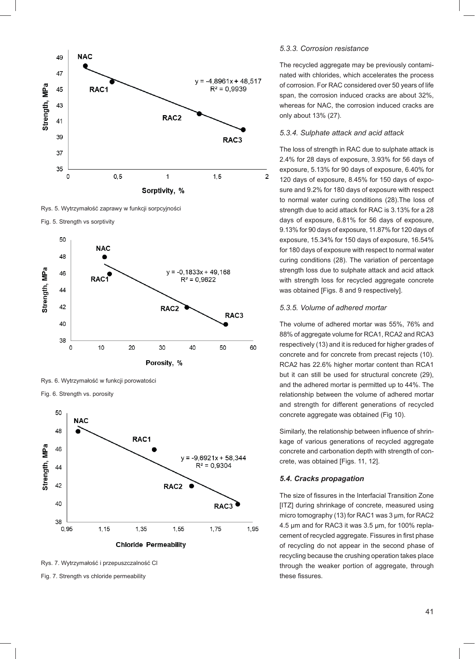

Rys. 5. Wytrzymałość zaprawy w funkcji sorpcyjności





Rys. 6. Wytrzymałość w funkcji porowatości

Fig. 6. Strength vs. porosity



Rys. 7. Wytrzymałość i przepuszczalność Cl

Fig. 7. Strength vs chloride permeability

#### *5.3.3. Corrosion resistance*

The recycled aggregate may be previously contaminated with chlorides, which accelerates the process of corrosion. For RAC considered over 50 years of life span, the corrosion induced cracks are about 32%, whereas for NAC, the corrosion induced cracks are only about 13% (27).

### *5.3.4. Sulphate attack and acid attack*

The loss of strength in RAC due to sulphate attack is 2.4% for 28 days of exposure, 3.93% for 56 days of exposure, 5.13% for 90 days of exposure, 6.40% for 120 days of exposure, 8.45% for 150 days of exposure and 9.2% for 180 days of exposure with respect to normal water curing conditions (28).The loss of strength due to acid attack for RAC is 3.13% for a 28 days of exposure, 6.81% for 56 days of exposure, 9.13% for 90 days of exposure, 11.87% for 120 days of exposure, 15.34% for 150 days of exposure, 16.54% for 180 days of exposure with respect to normal water curing conditions (28). The variation of percentage strength loss due to sulphate attack and acid attack with strength loss for recycled aggregate concrete was obtained [Figs. 8 and 9 respectively].

#### *5.3.5. Volume of adhered mortar*

The volume of adhered mortar was 55%, 76% and 88% of aggregate volume for RCA1, RCA2 and RCA3 respectively (13) and it is reduced for higher grades of concrete and for concrete from precast rejects (10). RCA2 has 22.6% higher mortar content than RCA1 but it can still be used for structural concrete (29), and the adhered mortar is permitted up to 44%. The relationship between the volume of adhered mortar and strength for different generations of recycled concrete aggregate was obtained (Fig 10).

Similarly, the relationship between influence of shrinkage of various generations of recycled aggregate concrete and carbonation depth with strength of concrete, was obtained [Figs. 11, 12].

### *5.4. Cracks propagation*

The size of fissures in the Interfacial Transition Zone [ITZ] during shrinkage of concrete, measured using micro tomography (13) for RAC1 was 3 μm, for RAC2 4.5 μm and for RAC3 it was 3.5 μm, for 100% replacement of recycled aggregate. Fissures in first phase of recycling do not appear in the second phase of recycling because the crushing operation takes place through the weaker portion of aggregate, through these fissures.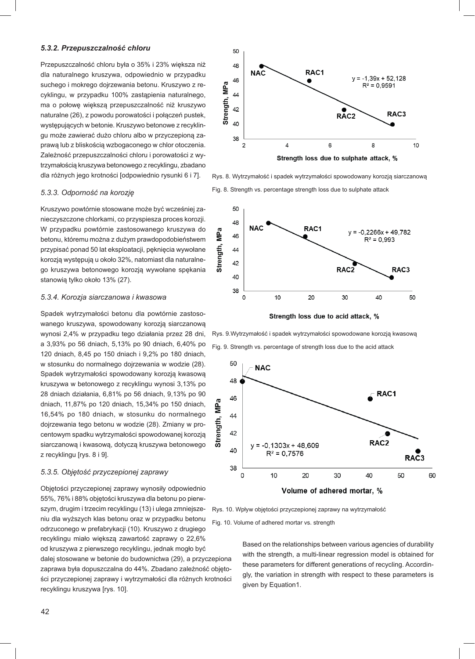#### *5.3.2. Przepuszczalność chloru*

Przepuszczalność chloru była o 35% i 23% większa niż dla naturalnego kruszywa, odpowiednio w przypadku suchego i mokrego dojrzewania betonu. Kruszywo z recyklingu, w przypadku 100% zastąpienia naturalnego, ma o połowę większą przepuszczalność niż kruszywo naturalne (26), z powodu porowatości i połączeń pustek, występujących w betonie. Kruszywo betonowe z recyklingu może zawierać dużo chloru albo w przyczepioną zaprawą lub z bliskością wzbogaconego w chlor otoczenia. Zależność przepuszczalności chloru i porowatości z wytrzymałością kruszywa betonowego z recyklingu, zbadano dla różnych jego krotności [odpowiednio rysunki 6 i 7].

### *5.3.3. Odporność na korozję*

Kruszywo powtórnie stosowane może być wcześniej zanieczyszczone chlorkami, co przyspiesza proces korozji. W przypadku powtórnie zastosowanego kruszywa do betonu, któremu można z dużym prawdopodobieństwem przypisać ponad 50 lat eksploatacji, pęknięcia wywołane korozją występują u około 32%, natomiast dla naturalnego kruszywa betonowego korozją wywołane spękania stanowią tylko około 13% (27).

#### *5.3.4. Korozja siarczanowa i kwasowa*

Spadek wytrzymałości betonu dla powtórnie zastosowanego kruszywa, spowodowany korozją siarczanową wynosi 2,4% w przypadku tego działania przez 28 dni, a 3,93% po 56 dniach, 5,13% po 90 dniach, 6,40% po 120 dniach, 8,45 po 150 dniach i 9,2% po 180 dniach, w stosunku do normalnego dojrzewania w wodzie (28). Spadek wytrzymałości spowodowany korozją kwasową kruszywa w betonowego z recyklingu wynosi 3,13% po 28 dniach działania, 6,81% po 56 dniach, 9,13% po 90 dniach, 11,87% po 120 dniach, 15,34% po 150 dniach, 16,54% po 180 dniach, w stosunku do normalnego dojrzewania tego betonu w wodzie (28). Zmiany w procentowym spadku wytrzymałości spowodowanej korozją siarczanową i kwasową, dotyczą kruszywa betonowego z recyklingu [rys. 8 i 9].

#### *5.3.5. Objętość przyczepionej zaprawy*

Objętości przyczepionej zaprawy wynosiły odpowiednio 55%, 76% i 88% objętości kruszywa dla betonu po pierwszym, drugim i trzecim recyklingu (13) i ulega zmniejszeniu dla wyższych klas betonu oraz w przypadku betonu odrzuconego w prefabrykacji (10). Kruszywo z drugiego recyklingu miało większą zawartość zaprawy o 22,6% od kruszywa z pierwszego recyklingu, jednak mogło być dalej stosowane w betonie do budownictwa (29), a przyczepiona zaprawa była dopuszczalna do 44%. Zbadano zależność objętości przyczepionej zaprawy i wytrzymałości dla różnych krotności recyklingu kruszywa [rys. 10].



Rys. 8. Wytrzymałość i spadek wytrzymałości spowodowany korozją siarczanową Fig. 8. Strength vs. percentage strength loss due to sulphate attack



Strength loss due to acid attack, %

Rys. 9.Wytrzymałość i spadek wytrzymałości spowodowane korozją kwasową Fig. 9. Strength vs. percentage of strength loss due to the acid attack



Rys. 10. Wpływ objętości przyczepionej zaprawy na wytrzymałość

Fig. 10. Volume of adhered mortar vs. strength

Based on the relationships between various agencies of durability with the strength, a multi-linear regression model is obtained for these parameters for different generations of recycling. Accordingly, the variation in strength with respect to these parameters is given by Equation1.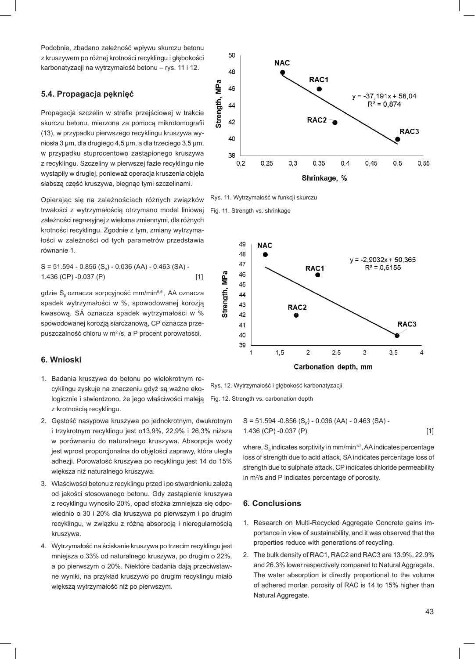Podobnie, zbadano zależność wpływu skurczu betonu z kruszywem po różnej krotności recyklingu i głębokości karbonatyzacji na wytrzymałość betonu – rys. 11 i 12.

# **5.4. Propagacja pęknięć**

Propagacja szczelin w strefie przejściowej w trakcie skurczu betonu, mierzona za pomocą mikrotomografii (13), w przypadku pierwszego recyklingu kruszywa wyniosła 3 μm, dla drugiego 4,5 μm, a dla trzeciego 3,5 μm, w przypadku stuprocentowo zastąpionego kruszywa z recyklingu. Szczeliny w pierwszej fazie recyklingu nie wystąpiły w drugiej, ponieważ operacja kruszenia objęła słabszą część kruszywa, biegnąc tymi szczelinami.

Opierając się na zależnościach różnych związków trwałości z wytrzymałością otrzymano model liniowej zależności regresyjnej z wieloma zmiennymi, dla różnych krotności recyklingu. Zgodnie z tym, zmiany wytrzymałości w zależności od tych parametrów przedstawia równanie 1.

 $S = 51.594 - 0.856$  (S<sub>n</sub>) - 0.036 (AA) - 0.463 (SA) -1.436 (CP) -0.037 (P) [1]

gdzie  $S_p$  oznacza sorpcyjność mm/min<sup>0,5</sup>, AA oznacza spadek wytrzymałości w %, spowodowanej korozją kwasową, SÁ oznacza spadek wytrzymałości w % spowodowanej korozją siarczanową, CP oznacza przepuszczalność chloru w m2 /s, a P procent porowatości.

# **6. Wnioski**

- 1. Badania kruszywa do betonu po wielokrotnym recyklingu zyskuje na znaczeniu gdyż są ważne ekologicznie i stwierdzono, że jego właściwości maleją z krotnością recyklingu.
- 2. Gęstość nasypowa kruszywa po jednokrotnym, dwukrotnym i trzykrotnym recyklingu jest o13,9%, 22,9% i 26,3% niższa w porównaniu do naturalnego kruszywa. Absorpcja wody jest wprost proporcjonalna do objętości zaprawy, która uległa adhezji. Porowatość kruszywa po recyklingu jest 14 do 15% większa niż naturalnego kruszywa.
- 3. Właściwości betonu z recyklingu przed i po stwardnieniu zależą od jakości stosowanego betonu. Gdy zastąpienie kruszywa z recyklingu wynosiło 20%, opad stożka zmniejsza się odpowiednio o 30 i 20% dla kruszywa po pierwszym i po drugim recyklingu, w związku z różną absorpcją i nieregularnością kruszywa.
- 4. Wytrzymałość na ściskanie kruszywa po trzecim recyklingu jest mniejsza o 33% od naturalnego kruszywa, po drugim o 22%, a po pierwszym o 20%. Niektóre badania dają przeciwstawne wyniki, na przykład kruszywo po drugim recyklingu miało większą wytrzymałość niż po pierwszym.



Rys. 11. Wytrzymałość w funkcji skurczu





Rys. 12. Wytrzymałość i głębokość karbonatyzacji Fig. 12. Strength vs. carbonation depth

> $S = 51.594 - 0.856$  (S<sub>o</sub>) - 0.036 (AA) - 0.463 (SA) -1.436 (CP) -0.037 (P) [1]

> where,  $S_n$  indicates sorptivity in mm/min<sup>1/2</sup>, AA indicates percentage loss of strength due to acid attack, SA indicates percentage loss of strength due to sulphate attack, CP indicates chloride permeability in m<sup>2</sup>/s and P indicates percentage of porosity.

# **6. Conclusions**

- 1. Research on Multi-Recycled Aggregate Concrete gains importance in view of sustainability, and it was observed that the properties reduce with generations of recycling.
- 2. The bulk density of RAC1, RAC2 and RAC3 are 13.9%, 22.9% and 26.3% lower respectively compared to Natural Aggregate. The water absorption is directly proportional to the volume of adhered mortar, porosity of RAC is 14 to 15% higher than Natural Aggregate.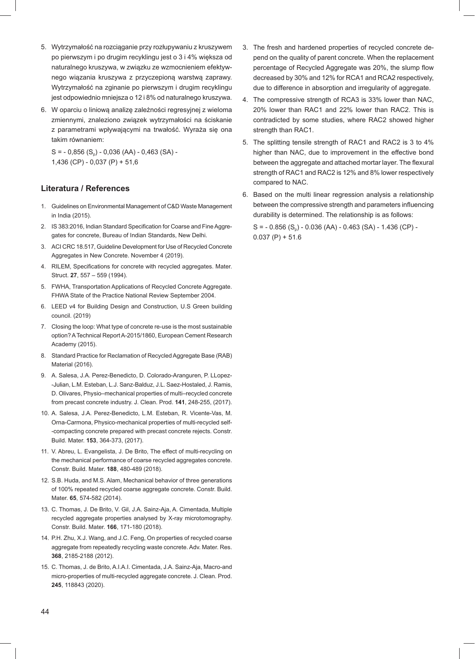- 5. Wytrzymałość na rozciąganie przy rozłupywaniu z kruszywem po pierwszym i po drugim recyklingu jest o 3 i 4% większa od naturalnego kruszywa, w związku ze wzmocnieniem efektywnego wiązania kruszywa z przyczepioną warstwą zaprawy. Wytrzymałość na zginanie po pierwszym i drugim recyklingu jest odpowiednio mniejsza o 12 i 8% od naturalnego kruszywa.
- 6. W oparciu o liniową analizę zależności regresyjnej z wieloma zmiennymi, znaleziono związek wytrzymałości na ściskanie z parametrami wpływającymi na trwałość. Wyraża się ona takim równaniem:

 $S = -0.856$  (S<sub>n</sub>) - 0,036 (AA) - 0,463 (SA) -1,436 (CP) - 0,037 (P) + 51,6

# **Literatura / References**

- 1. Guidelines on Environmental Management of C&D Waste Management in India (2015).
- 2. IS 383:2016, Indian Standard Specification for Coarse and Fine Aggregates for concrete, Bureau of Indian Standards, New Delhi.
- 3. ACI CRC 18.517, Guideline Development for Use of Recycled Concrete Aggregates in New Concrete. November 4 (2019).
- 4. RILEM, Specifications for concrete with recycled aggregates. Mater. Struct. **27**, 557 – 559 (1994).
- 5. FWHA, Transportation Applications of Recycled Concrete Aggregate. FHWA State of the Practice National Review September 2004.
- 6. LEED v4 for Building Design and Construction, U.S Green building council. (2019)
- 7. Closing the loop: What type of concrete re-use is the most sustainable option? A Technical Report A-2015/1860, European Cement Research Academy (2015).
- 8. Standard Practice for Reclamation of Recycled Aggregate Base (RAB) Material (2016).
- 9. A. Salesa, J.A. Perez-Benedicto, D. Colorado-Aranguren, P. LLopez- -Julian, L.M. Esteban, L.J. Sanz-Balduz, J.L. Saez-Hostaled, J. Ramis, D. Olivares, Physio–mechanical properties of multi–recycled concrete from precast concrete industry. J. Clean. Prod. **141**, 248-255, (2017).
- 10. A. Salesa, J.A. Perez-Benedicto, L.M. Esteban, R. Vicente-Vas, M. Orna-Carmona, Physico-mechanical properties of multi-recycled self- -compacting concrete prepared with precast concrete rejects. Constr. Build. Mater. **153**, 364-373, (2017).
- 11. V. Abreu, L. Evangelista, J. De Brito, The effect of multi-recycling on the mechanical performance of coarse recycled aggregates concrete. Constr. Build. Mater. **188**, 480-489 (2018).
- 12. S.B. Huda, and M.S. Alam, Mechanical behavior of three generations of 100% repeated recycled coarse aggregate concrete. Constr. Build. Mater. **65**, 574-582 (2014).
- 13. C. Thomas, J. De Brito, V. Gil, J.A. Sainz-Aja, A. Cimentada, Multiple recycled aggregate properties analysed by X-ray microtomography. Constr. Build. Mater. **166**, 171-180 (2018).
- 14. P.H. Zhu, X.J. Wang, and J.C. Feng, On properties of recycled coarse aggregate from repeatedly recycling waste concrete. Adv. Mater. Res. **368**, 2185-2188 (2012).
- 15. C. Thomas, J. de Brito, A.I.A.I. Cimentada, J.A. Sainz-Aja, Macro-and micro-properties of multi-recycled aggregate concrete. J. Clean. Prod. **245**, 118843 (2020).
- 3. The fresh and hardened properties of recycled concrete depend on the quality of parent concrete. When the replacement percentage of Recycled Aggregate was 20%, the slump flow decreased by 30% and 12% for RCA1 and RCA2 respectively, due to difference in absorption and irregularity of aggregate.
- 4. The compressive strength of RCA3 is 33% lower than NAC, 20% lower than RAC1 and 22% lower than RAC2. This is contradicted by some studies, where RAC2 showed higher strength than RAC1.
- 5. The splitting tensile strength of RAC1 and RAC2 is 3 to 4% higher than NAC, due to improvement in the effective bond between the aggregate and attached mortar layer. The flexural strength of RAC1 and RAC2 is 12% and 8% lower respectively compared to NAC.
- 6. Based on the multi linear regression analysis a relationship between the compressive strength and parameters influencing durability is determined. The relationship is as follows:

 $S = -0.856$  (S<sub>n</sub>) - 0.036 (AA) - 0.463 (SA) - 1.436 (CP) - $0.037$  (P) + 51.6